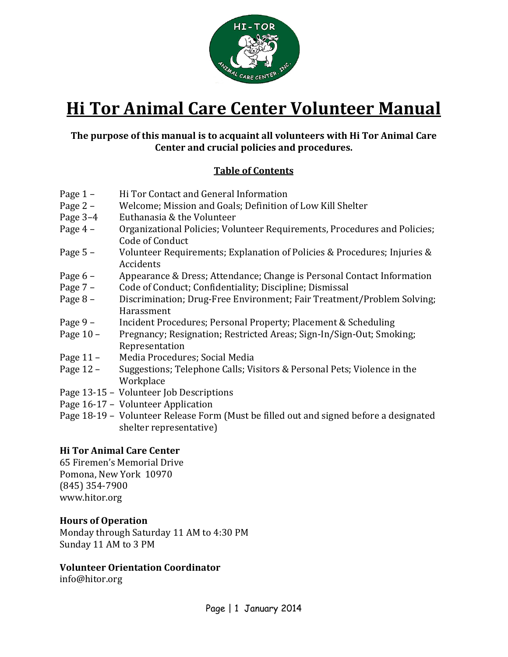

# **Hi Tor Animal Care Center Volunteer Manual**

# **The purpose of this manual is to acquaint all volunteers with Hi Tor Animal Care Center and crucial policies and procedures.**

# **Table of Contents**

- 
- Page 1 Hi Tor Contact and General Information<br>Page 2 Welcome; Mission and Goals; Definition Page 2 – Welcome; Mission and Goals; Definition of Low Kill Shelter<br>Page 3–4 Euthanasia & the Volunteer
- 
- Page 3–4 Euthanasia & the Volunteer<br>Page 4 Organizational Policies: Volu Organizational Policies; Volunteer Requirements, Procedures and Policies; Code of Conduct
- Page 5 Volunteer Requirements; Explanation of Policies & Procedures; Injuries & Accidents
- Page 6 Appearance & Dress; Attendance; Change is Personal Contact Information<br>Page 7 Code of Conduct: Confidentiality: Discipline: Dismissal
- Page 7 Code of Conduct; Confidentiality; Discipline; Dismissal<br>Page 8 Discrimination; Drug-Free Environment; Fair Treatmer
- Discrimination; Drug-Free Environment; Fair Treatment/Problem Solving; Harassment
- Page 9 Incident Procedures; Personal Property; Placement & Scheduling<br>Page 10 Pregnancy: Resignation: Restricted Areas: Sign-In/Sign-Out: Smok
- Pregnancy; Resignation; Restricted Areas; Sign-In/Sign-Out; Smoking; Representation
- Page 11 Media Procedures; Social Media<br>Page 12 Suggestions; Telephone Calls; Vis
- Suggestions; Telephone Calls; Visitors & Personal Pets; Violence in the **Workplace**
- Page 13-15 Volunteer Job Descriptions
- Page 16-17 Volunteer Application
- Page 18-19 Volunteer Release Form (Must be filled out and signed before a designated shelter representative)

# **Hi Tor Animal Care Center**

65 Firemen's Memorial Drive Pomona, New York 10970 (845) 354-7900 www.hitor.org

# **Hours of Operation**

Monday through Saturday 11 AM to 4:30 PM Sunday 11 AM to 3 PM

# **Volunteer Orientation Coordinator**

info@hitor.org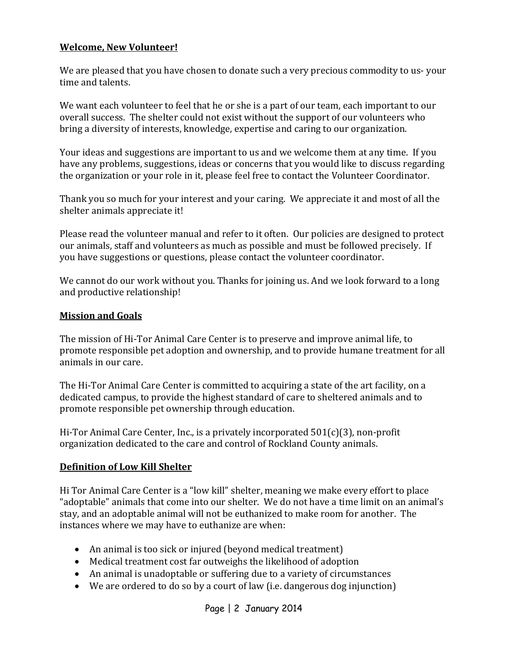# **Welcome, New Volunteer!**

We are pleased that you have chosen to donate such a very precious commodity to us- your time and talents.

We want each volunteer to feel that he or she is a part of our team, each important to our overall success. The shelter could not exist without the support of our volunteers who bring a diversity of interests, knowledge, expertise and caring to our organization.

Your ideas and suggestions are important to us and we welcome them at any time. If you have any problems, suggestions, ideas or concerns that you would like to discuss regarding the organization or your role in it, please feel free to contact the Volunteer Coordinator.

Thank you so much for your interest and your caring. We appreciate it and most of all the shelter animals appreciate it!

Please read the volunteer manual and refer to it often. Our policies are designed to protect our animals, staff and volunteers as much as possible and must be followed precisely. If you have suggestions or questions, please contact the volunteer coordinator.

We cannot do our work without you. Thanks for joining us. And we look forward to a long and productive relationship!

# **Mission and Goals**

The mission of Hi-Tor Animal Care Center is to preserve and improve animal life, to promote responsible pet adoption and ownership, and to provide humane treatment for all animals in our care.

The Hi-Tor Animal Care Center is committed to acquiring a state of the art facility, on a dedicated campus, to provide the highest standard of care to sheltered animals and to promote responsible pet ownership through education.

Hi-Tor Animal Care Center, Inc., is a privately incorporated  $501(c)(3)$ , non-profit organization dedicated to the care and control of Rockland County animals.

#### **Definition of Low Kill Shelter**

Hi Tor Animal Care Center is a "low kill" shelter, meaning we make every effort to place "adoptable" animals that come into our shelter. We do not have a time limit on an animal's stay, and an adoptable animal will not be euthanized to make room for another. The instances where we may have to euthanize are when:

- An animal is too sick or injured (beyond medical treatment)
- Medical treatment cost far outweighs the likelihood of adoption
- An animal is unadoptable or suffering due to a variety of circumstances
- We are ordered to do so by a court of law (i.e. dangerous dog injunction)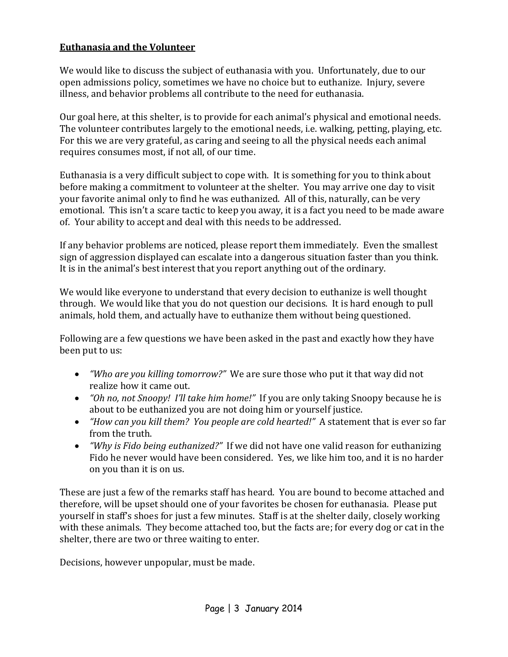# **Euthanasia and the Volunteer**

We would like to discuss the subject of euthanasia with you. Unfortunately, due to our open admissions policy, sometimes we have no choice but to euthanize. Injury, severe illness, and behavior problems all contribute to the need for euthanasia.

Our goal here, at this shelter, is to provide for each animal's physical and emotional needs. The volunteer contributes largely to the emotional needs, i.e. walking, petting, playing, etc. For this we are very grateful, as caring and seeing to all the physical needs each animal requires consumes most, if not all, of our time.

Euthanasia is a very difficult subject to cope with. It is something for you to think about before making a commitment to volunteer at the shelter. You may arrive one day to visit your favorite animal only to find he was euthanized. All of this, naturally, can be very emotional. This isn't a scare tactic to keep you away, it is a fact you need to be made aware of. Your ability to accept and deal with this needs to be addressed.

If any behavior problems are noticed, please report them immediately. Even the smallest sign of aggression displayed can escalate into a dangerous situation faster than you think. It is in the animal's best interest that you report anything out of the ordinary.

We would like everyone to understand that every decision to euthanize is well thought through. We would like that you do not question our decisions. It is hard enough to pull animals, hold them, and actually have to euthanize them without being questioned.

Following are a few questions we have been asked in the past and exactly how they have been put to us:

- *"Who are you killing tomorrow?"* We are sure those who put it that way did not realize how it came out.
- *"Oh no, not Snoopy! I'll take him home!"* If you are only taking Snoopy because he is about to be euthanized you are not doing him or yourself justice.
- *"How can you kill them? You people are cold hearted!"* A statement that is ever so far from the truth.
- *"Why is Fido being euthanized?"* If we did not have one valid reason for euthanizing Fido he never would have been considered. Yes, we like him too, and it is no harder on you than it is on us.

These are just a few of the remarks staff has heard. You are bound to become attached and therefore, will be upset should one of your favorites be chosen for euthanasia. Please put yourself in staff's shoes for just a few minutes. Staff is at the shelter daily, closely working with these animals. They become attached too, but the facts are; for every dog or cat in the shelter, there are two or three waiting to enter.

Decisions, however unpopular, must be made.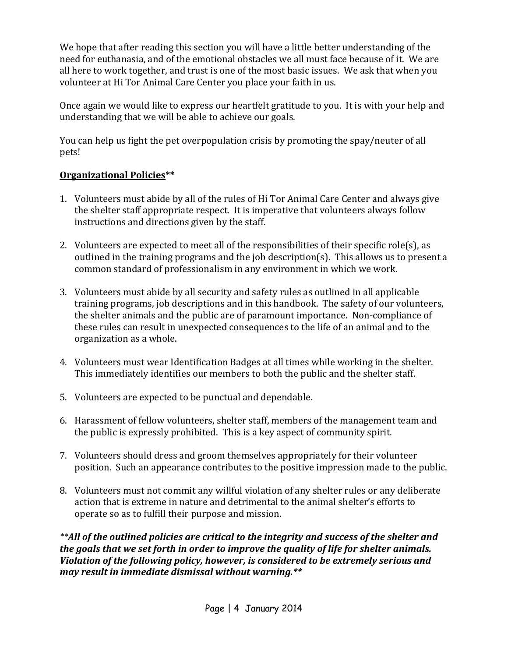We hope that after reading this section you will have a little better understanding of the need for euthanasia, and of the emotional obstacles we all must face because of it. We are all here to work together, and trust is one of the most basic issues. We ask that when you volunteer at Hi Tor Animal Care Center you place your faith in us.

Once again we would like to express our heartfelt gratitude to you. It is with your help and understanding that we will be able to achieve our goals.

You can help us fight the pet overpopulation crisis by promoting the spay/neuter of all pets!

# **Organizational Policies\*\***

- 1. Volunteers must abide by all of the rules of Hi Tor Animal Care Center and always give the shelter staff appropriate respect. It is imperative that volunteers always follow instructions and directions given by the staff.
- 2. Volunteers are expected to meet all of the responsibilities of their specific role(s), as outlined in the training programs and the job description(s). This allows us to present a common standard of professionalism in any environment in which we work.
- 3. Volunteers must abide by all security and safety rules as outlined in all applicable training programs, job descriptions and in this handbook. The safety of our volunteers, the shelter animals and the public are of paramount importance. Non-compliance of these rules can result in unexpected consequences to the life of an animal and to the organization as a whole.
- 4. Volunteers must wear Identification Badges at all times while working in the shelter. This immediately identifies our members to both the public and the shelter staff.
- 5. Volunteers are expected to be punctual and dependable.
- 6. Harassment of fellow volunteers, shelter staff, members of the management team and the public is expressly prohibited. This is a key aspect of community spirit.
- 7. Volunteers should dress and groom themselves appropriately for their volunteer position. Such an appearance contributes to the positive impression made to the public.
- 8. Volunteers must not commit any willful violation of any shelter rules or any deliberate action that is extreme in nature and detrimental to the animal shelter's efforts to operate so as to fulfill their purpose and mission.

*\*\*All of the outlined policies are critical to the integrity and success of the shelter and the goals that we set forth in order to improve the quality of life for shelter animals. Violation of the following policy, however, is considered to be extremely serious and may result in immediate dismissal without warning.\*\**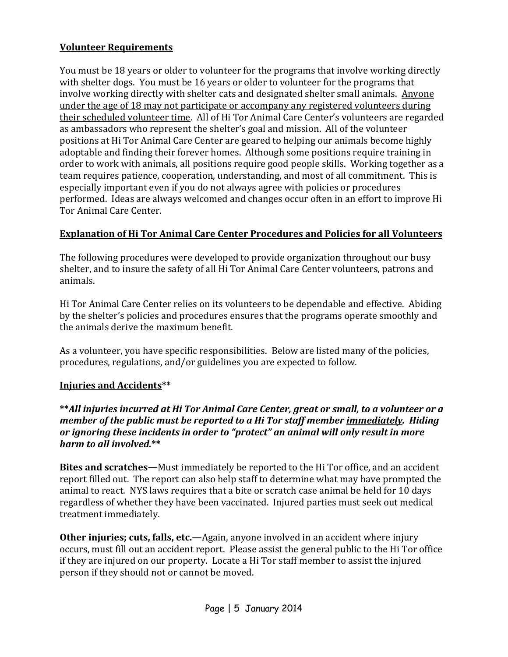# **Volunteer Requirements**

You must be 18 years or older to volunteer for the programs that involve working directly with shelter dogs. You must be 16 years or older to volunteer for the programs that involve working directly with shelter cats and designated shelter small animals. Anyone under the age of 18 may not participate or accompany any registered volunteers during their scheduled volunteer time. All of Hi Tor Animal Care Center's volunteers are regarded as ambassadors who represent the shelter's goal and mission. All of the volunteer positions at Hi Tor Animal Care Center are geared to helping our animals become highly adoptable and finding their forever homes. Although some positions require training in order to work with animals, all positions require good people skills. Working together as a team requires patience, cooperation, understanding, and most of all commitment. This is especially important even if you do not always agree with policies or procedures performed. Ideas are always welcomed and changes occur often in an effort to improve Hi Tor Animal Care Center.

# **Explanation of Hi Tor Animal Care Center Procedures and Policies for all Volunteers**

The following procedures were developed to provide organization throughout our busy shelter, and to insure the safety of all Hi Tor Animal Care Center volunteers, patrons and animals.

Hi Tor Animal Care Center relies on its volunteers to be dependable and effective. Abiding by the shelter's policies and procedures ensures that the programs operate smoothly and the animals derive the maximum benefit.

As a volunteer, you have specific responsibilities. Below are listed many of the policies, procedures, regulations, and/or guidelines you are expected to follow.

#### **Injuries and Accidents\*\***

#### **\*\****All injuries incurred at Hi Tor Animal Care Center, great or small, to a volunteer or a member of the public must be reported to a Hi Tor staff member immediately. Hiding or ignoring these incidents in order to "protect" an animal will only result in more harm to all involved.***\*\***

**Bites and scratches—**Must immediately be reported to the Hi Tor office, and an accident report filled out. The report can also help staff to determine what may have prompted the animal to react. NYS laws requires that a bite or scratch case animal be held for 10 days regardless of whether they have been vaccinated. Injured parties must seek out medical treatment immediately.

**Other injuries; cuts, falls, etc.—Again, anyone involved in an accident where injury** occurs, must fill out an accident report. Please assist the general public to the Hi Tor office if they are injured on our property. Locate a Hi Tor staff member to assist the injured person if they should not or cannot be moved.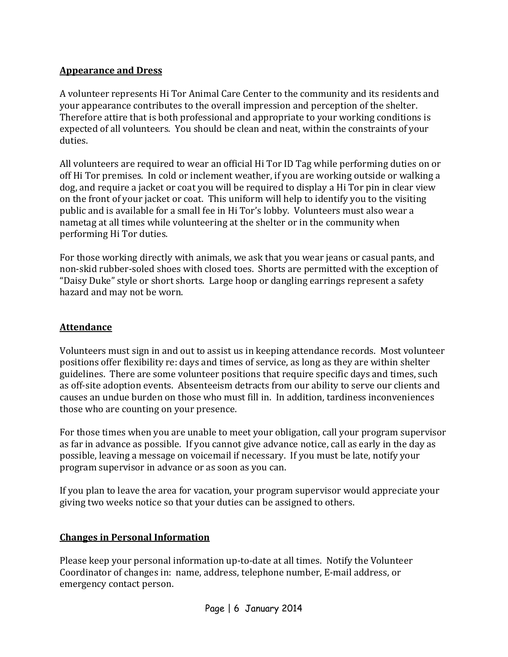# **Appearance and Dress**

A volunteer represents Hi Tor Animal Care Center to the community and its residents and your appearance contributes to the overall impression and perception of the shelter. Therefore attire that is both professional and appropriate to your working conditions is expected of all volunteers. You should be clean and neat, within the constraints of your duties.

All volunteers are required to wear an official Hi Tor ID Tag while performing duties on or off Hi Tor premises. In cold or inclement weather, if you are working outside or walking a dog, and require a jacket or coat you will be required to display a Hi Tor pin in clear view on the front of your jacket or coat. This uniform will help to identify you to the visiting public and is available for a small fee in Hi Tor's lobby. Volunteers must also wear a nametag at all times while volunteering at the shelter or in the community when performing Hi Tor duties.

For those working directly with animals, we ask that you wear jeans or casual pants, and non-skid rubber-soled shoes with closed toes. Shorts are permitted with the exception of "Daisy Duke" style or short shorts. Large hoop or dangling earrings represent a safety hazard and may not be worn.

# **Attendance**

Volunteers must sign in and out to assist us in keeping attendance records. Most volunteer positions offer flexibility re: days and times of service, as long as they are within shelter guidelines. There are some volunteer positions that require specific days and times, such as off-site adoption events. Absenteeism detracts from our ability to serve our clients and causes an undue burden on those who must fill in. In addition, tardiness inconveniences those who are counting on your presence.

For those times when you are unable to meet your obligation, call your program supervisor as far in advance as possible. If you cannot give advance notice, call as early in the day as possible, leaving a message on voicemail if necessary. If you must be late, notify your program supervisor in advance or as soon as you can.

If you plan to leave the area for vacation, your program supervisor would appreciate your giving two weeks notice so that your duties can be assigned to others.

#### **Changes in Personal Information**

Please keep your personal information up-to-date at all times. Notify the Volunteer Coordinator of changes in: name, address, telephone number, E-mail address, or emergency contact person.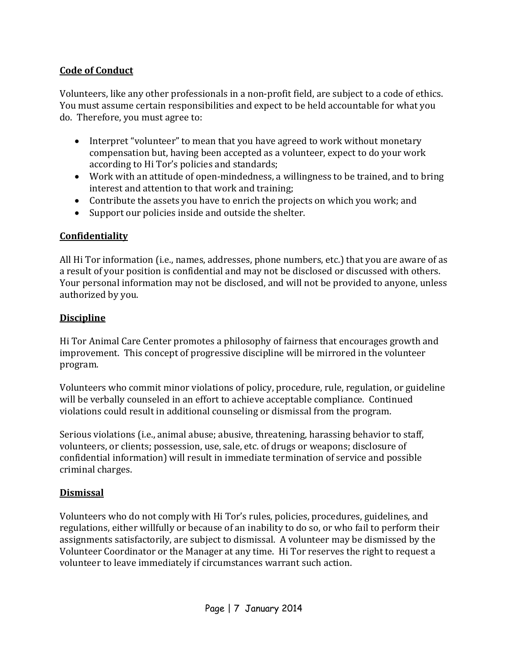# **Code of Conduct**

Volunteers, like any other professionals in a non-profit field, are subject to a code of ethics. You must assume certain responsibilities and expect to be held accountable for what you do. Therefore, you must agree to:

- Interpret "volunteer" to mean that you have agreed to work without monetary compensation but, having been accepted as a volunteer, expect to do your work according to Hi Tor's policies and standards;
- Work with an attitude of open-mindedness, a willingness to be trained, and to bring interest and attention to that work and training;
- Contribute the assets you have to enrich the projects on which you work; and
- Support our policies inside and outside the shelter.

# **Confidentiality**

All Hi Tor information (i.e., names, addresses, phone numbers, etc.) that you are aware of as a result of your position is confidential and may not be disclosed or discussed with others. Your personal information may not be disclosed, and will not be provided to anyone, unless authorized by you.

# **Discipline**

Hi Tor Animal Care Center promotes a philosophy of fairness that encourages growth and improvement. This concept of progressive discipline will be mirrored in the volunteer program.

Volunteers who commit minor violations of policy, procedure, rule, regulation, or guideline will be verbally counseled in an effort to achieve acceptable compliance. Continued violations could result in additional counseling or dismissal from the program.

Serious violations (i.e., animal abuse; abusive, threatening, harassing behavior to staff, volunteers, or clients; possession, use, sale, etc. of drugs or weapons; disclosure of confidential information) will result in immediate termination of service and possible criminal charges.

# **Dismissal**

Volunteers who do not comply with Hi Tor's rules, policies, procedures, guidelines, and regulations, either willfully or because of an inability to do so, or who fail to perform their assignments satisfactorily, are subject to dismissal. A volunteer may be dismissed by the Volunteer Coordinator or the Manager at any time. Hi Tor reserves the right to request a volunteer to leave immediately if circumstances warrant such action.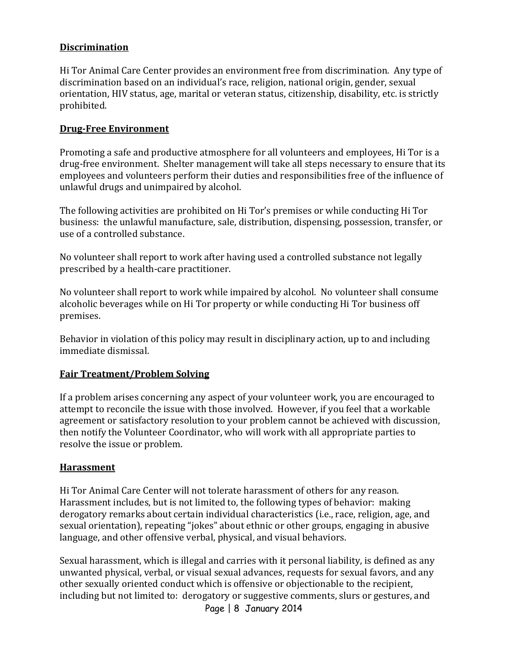# **Discrimination**

Hi Tor Animal Care Center provides an environment free from discrimination. Any type of discrimination based on an individual's race, religion, national origin, gender, sexual orientation, HIV status, age, marital or veteran status, citizenship, disability, etc. is strictly prohibited.

#### **Drug-Free Environment**

Promoting a safe and productive atmosphere for all volunteers and employees, Hi Tor is a drug-free environment. Shelter management will take all steps necessary to ensure that its employees and volunteers perform their duties and responsibilities free of the influence of unlawful drugs and unimpaired by alcohol.

The following activities are prohibited on Hi Tor's premises or while conducting Hi Tor business: the unlawful manufacture, sale, distribution, dispensing, possession, transfer, or use of a controlled substance.

No volunteer shall report to work after having used a controlled substance not legally prescribed by a health-care practitioner.

No volunteer shall report to work while impaired by alcohol. No volunteer shall consume alcoholic beverages while on Hi Tor property or while conducting Hi Tor business off premises.

Behavior in violation of this policy may result in disciplinary action, up to and including immediate dismissal.

#### **Fair Treatment/Problem Solving**

If a problem arises concerning any aspect of your volunteer work, you are encouraged to attempt to reconcile the issue with those involved. However, if you feel that a workable agreement or satisfactory resolution to your problem cannot be achieved with discussion, then notify the Volunteer Coordinator, who will work with all appropriate parties to resolve the issue or problem.

#### **Harassment**

Hi Tor Animal Care Center will not tolerate harassment of others for any reason. Harassment includes, but is not limited to, the following types of behavior: making derogatory remarks about certain individual characteristics (i.e., race, religion, age, and sexual orientation), repeating "jokes" about ethnic or other groups, engaging in abusive language, and other offensive verbal, physical, and visual behaviors.

Sexual harassment, which is illegal and carries with it personal liability, is defined as any unwanted physical, verbal, or visual sexual advances, requests for sexual favors, and any other sexually oriented conduct which is offensive or objectionable to the recipient, including but not limited to: derogatory or suggestive comments, slurs or gestures, and

Page | 8 January 2014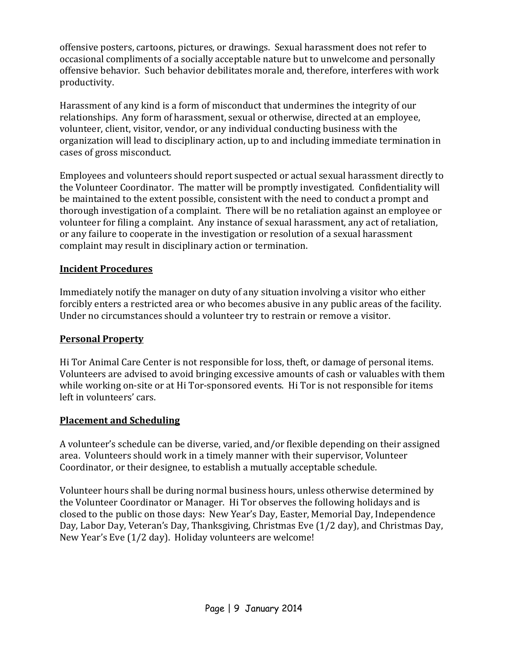offensive posters, cartoons, pictures, or drawings. Sexual harassment does not refer to occasional compliments of a socially acceptable nature but to unwelcome and personally offensive behavior. Such behavior debilitates morale and, therefore, interferes with work productivity.

Harassment of any kind is a form of misconduct that undermines the integrity of our relationships. Any form of harassment, sexual or otherwise, directed at an employee, volunteer, client, visitor, vendor, or any individual conducting business with the organization will lead to disciplinary action, up to and including immediate termination in cases of gross misconduct.

Employees and volunteers should report suspected or actual sexual harassment directly to the Volunteer Coordinator. The matter will be promptly investigated. Confidentiality will be maintained to the extent possible, consistent with the need to conduct a prompt and thorough investigation of a complaint. There will be no retaliation against an employee or volunteer for filing a complaint. Any instance of sexual harassment, any act of retaliation, or any failure to cooperate in the investigation or resolution of a sexual harassment complaint may result in disciplinary action or termination.

# **Incident Procedures**

Immediately notify the manager on duty of any situation involving a visitor who either forcibly enters a restricted area or who becomes abusive in any public areas of the facility. Under no circumstances should a volunteer try to restrain or remove a visitor.

#### **Personal Property**

Hi Tor Animal Care Center is not responsible for loss, theft, or damage of personal items. Volunteers are advised to avoid bringing excessive amounts of cash or valuables with them while working on-site or at Hi Tor-sponsored events. Hi Tor is not responsible for items left in volunteers' cars.

#### **Placement and Scheduling**

A volunteer's schedule can be diverse, varied, and/or flexible depending on their assigned area. Volunteers should work in a timely manner with their supervisor, Volunteer Coordinator, or their designee, to establish a mutually acceptable schedule.

Volunteer hours shall be during normal business hours, unless otherwise determined by the Volunteer Coordinator or Manager. Hi Tor observes the following holidays and is closed to the public on those days: New Year's Day, Easter, Memorial Day, Independence Day, Labor Day, Veteran's Day, Thanksgiving, Christmas Eve (1/2 day), and Christmas Day, New Year's Eve (1/2 day). Holiday volunteers are welcome!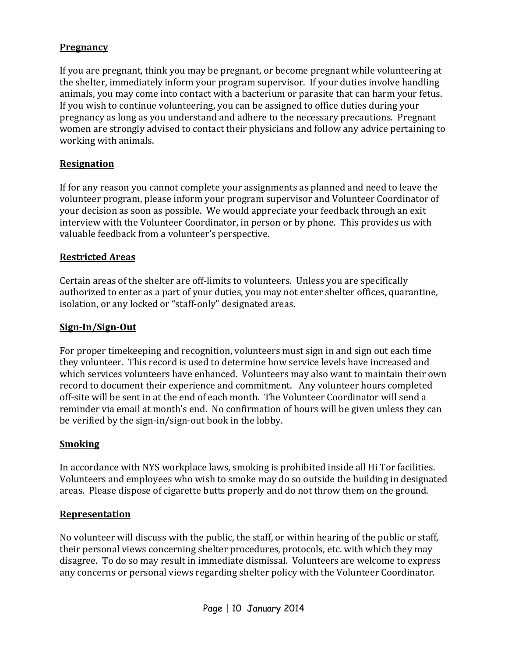# **Pregnancy**

If you are pregnant, think you may be pregnant, or become pregnant while volunteering at the shelter, immediately inform your program supervisor. If your duties involve handling animals, you may come into contact with a bacterium or parasite that can harm your fetus. If you wish to continue volunteering, you can be assigned to office duties during your pregnancy as long as you understand and adhere to the necessary precautions. Pregnant women are strongly advised to contact their physicians and follow any advice pertaining to working with animals.

#### **Resignation**

If for any reason you cannot complete your assignments as planned and need to leave the volunteer program, please inform your program supervisor and Volunteer Coordinator of your decision as soon as possible. We would appreciate your feedback through an exit interview with the Volunteer Coordinator, in person or by phone. This provides us with valuable feedback from a volunteer's perspective.

#### **Restricted Areas**

Certain areas of the shelter are off-limits to volunteers. Unless you are specifically authorized to enter as a part of your duties, you may not enter shelter offices, quarantine, isolation, or any locked or "staff-only" designated areas.

#### **Sign-In/Sign-Out**

For proper timekeeping and recognition, volunteers must sign in and sign out each time they volunteer. This record is used to determine how service levels have increased and which services volunteers have enhanced. Volunteers may also want to maintain their own record to document their experience and commitment. Any volunteer hours completed off-site will be sent in at the end of each month. The Volunteer Coordinator will send a reminder via email at month's end. No confirmation of hours will be given unless they can be verified by the sign-in/sign-out book in the lobby.

#### **Smoking**

In accordance with NYS workplace laws, smoking is prohibited inside all Hi Tor facilities. Volunteers and employees who wish to smoke may do so outside the building in designated areas. Please dispose of cigarette butts properly and do not throw them on the ground.

#### **Representation**

No volunteer will discuss with the public, the staff, or within hearing of the public or staff, their personal views concerning shelter procedures, protocols, etc. with which they may disagree. To do so may result in immediate dismissal. Volunteers are welcome to express any concerns or personal views regarding shelter policy with the Volunteer Coordinator.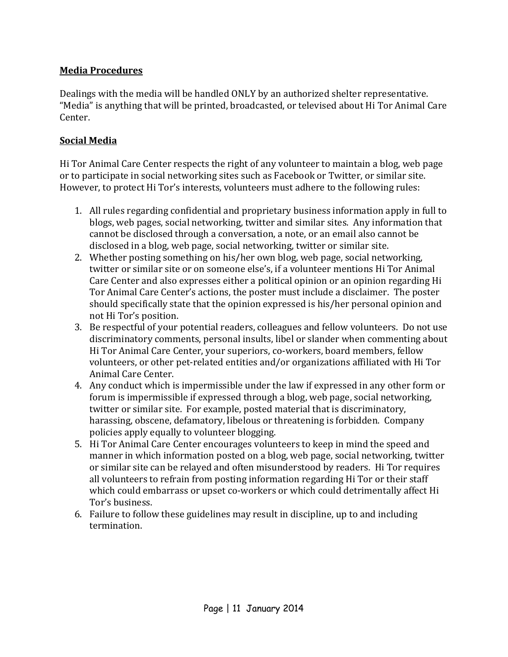# **Media Procedures**

Dealings with the media will be handled ONLY by an authorized shelter representative. "Media" is anything that will be printed, broadcasted, or televised about Hi Tor Animal Care Center.

# **Social Media**

Hi Tor Animal Care Center respects the right of any volunteer to maintain a blog, web page or to participate in social networking sites such as Facebook or Twitter, or similar site. However, to protect Hi Tor's interests, volunteers must adhere to the following rules:

- 1. All rules regarding confidential and proprietary business information apply in full to blogs, web pages, social networking, twitter and similar sites. Any information that cannot be disclosed through a conversation, a note, or an email also cannot be disclosed in a blog, web page, social networking, twitter or similar site.
- 2. Whether posting something on his/her own blog, web page, social networking, twitter or similar site or on someone else's, if a volunteer mentions Hi Tor Animal Care Center and also expresses either a political opinion or an opinion regarding Hi Tor Animal Care Center's actions, the poster must include a disclaimer. The poster should specifically state that the opinion expressed is his/her personal opinion and not Hi Tor's position.
- 3. Be respectful of your potential readers, colleagues and fellow volunteers. Do not use discriminatory comments, personal insults, libel or slander when commenting about Hi Tor Animal Care Center, your superiors, co-workers, board members, fellow volunteers, or other pet-related entities and/or organizations affiliated with Hi Tor Animal Care Center.
- 4. Any conduct which is impermissible under the law if expressed in any other form or forum is impermissible if expressed through a blog, web page, social networking, twitter or similar site. For example, posted material that is discriminatory, harassing, obscene, defamatory, libelous or threatening is forbidden. Company policies apply equally to volunteer blogging.
- 5. Hi Tor Animal Care Center encourages volunteers to keep in mind the speed and manner in which information posted on a blog, web page, social networking, twitter or similar site can be relayed and often misunderstood by readers. Hi Tor requires all volunteers to refrain from posting information regarding Hi Tor or their staff which could embarrass or upset co-workers or which could detrimentally affect Hi Tor's business.
- 6. Failure to follow these guidelines may result in discipline, up to and including termination.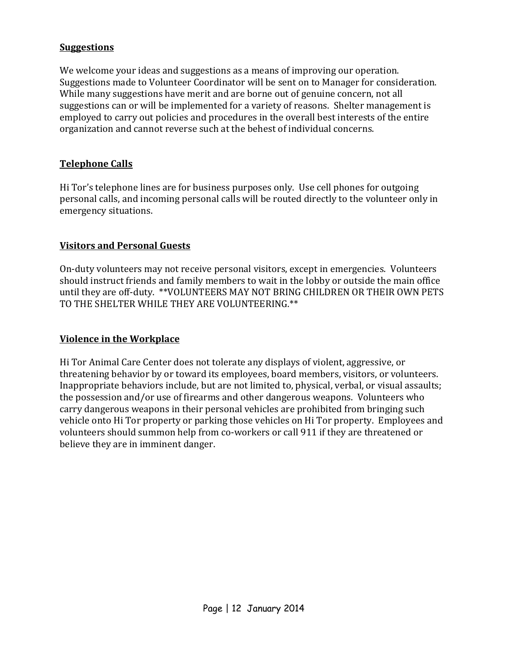#### **Suggestions**

We welcome your ideas and suggestions as a means of improving our operation. Suggestions made to Volunteer Coordinator will be sent on to Manager for consideration. While many suggestions have merit and are borne out of genuine concern, not all suggestions can or will be implemented for a variety of reasons. Shelter management is employed to carry out policies and procedures in the overall best interests of the entire organization and cannot reverse such at the behest of individual concerns.

# **Telephone Calls**

Hi Tor's telephone lines are for business purposes only. Use cell phones for outgoing personal calls, and incoming personal calls will be routed directly to the volunteer only in emergency situations.

# **Visitors and Personal Guests**

On-duty volunteers may not receive personal visitors, except in emergencies. Volunteers should instruct friends and family members to wait in the lobby or outside the main office until they are off-duty. \*\*VOLUNTEERS MAY NOT BRING CHILDREN OR THEIR OWN PETS TO THE SHELTER WHILE THEY ARE VOLUNTEERING.\*\*

#### **Violence in the Workplace**

Hi Tor Animal Care Center does not tolerate any displays of violent, aggressive, or threatening behavior by or toward its employees, board members, visitors, or volunteers. Inappropriate behaviors include, but are not limited to, physical, verbal, or visual assaults; the possession and/or use of firearms and other dangerous weapons. Volunteers who carry dangerous weapons in their personal vehicles are prohibited from bringing such vehicle onto Hi Tor property or parking those vehicles on Hi Tor property. Employees and volunteers should summon help from co-workers or call 911 if they are threatened or believe they are in imminent danger.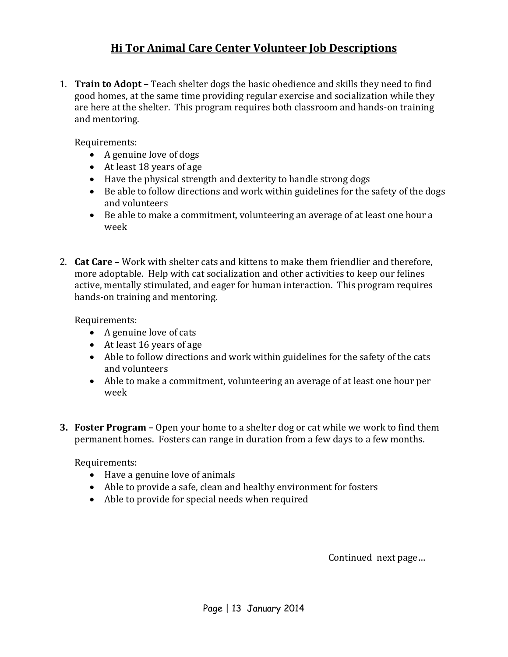# **Hi Tor Animal Care Center Volunteer Job Descriptions**

1. **Train to Adopt –** Teach shelter dogs the basic obedience and skills they need to find good homes, at the same time providing regular exercise and socialization while they are here at the shelter. This program requires both classroom and hands-on training and mentoring.

Requirements:

- A genuine love of dogs
- At least 18 years of age
- Have the physical strength and dexterity to handle strong dogs
- Be able to follow directions and work within guidelines for the safety of the dogs and volunteers
- Be able to make a commitment, volunteering an average of at least one hour a week
- 2. **Cat Care –** Work with shelter cats and kittens to make them friendlier and therefore, more adoptable. Help with cat socialization and other activities to keep our felines active, mentally stimulated, and eager for human interaction. This program requires hands-on training and mentoring.

Requirements:

- A genuine love of cats
- At least 16 years of age
- Able to follow directions and work within guidelines for the safety of the cats and volunteers
- Able to make a commitment, volunteering an average of at least one hour per week
- **3. Foster Program –** Open your home to a shelter dog or cat while we work to find them permanent homes. Fosters can range in duration from a few days to a few months.

Requirements:

- Have a genuine love of animals
- Able to provide a safe, clean and healthy environment for fosters
- Able to provide for special needs when required

Continued next page…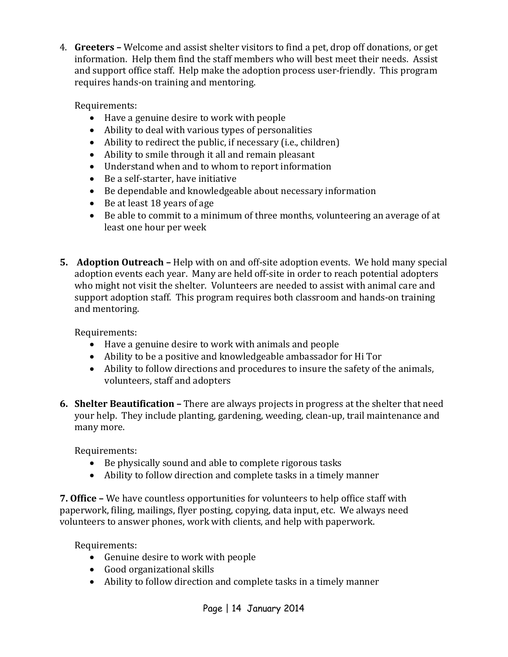4. **Greeters –** Welcome and assist shelter visitors to find a pet, drop off donations, or get information. Help them find the staff members who will best meet their needs. Assist and support office staff. Help make the adoption process user-friendly. This program requires hands-on training and mentoring.

Requirements:

- Have a genuine desire to work with people
- Ability to deal with various types of personalities
- Ability to redirect the public, if necessary (i.e., children)
- Ability to smile through it all and remain pleasant
- Understand when and to whom to report information
- Be a self-starter, have initiative
- Be dependable and knowledgeable about necessary information
- Be at least 18 years of age
- Be able to commit to a minimum of three months, volunteering an average of at least one hour per week
- **5. Adoption Outreach –** Help with on and off-site adoption events. We hold many special adoption events each year. Many are held off-site in order to reach potential adopters who might not visit the shelter. Volunteers are needed to assist with animal care and support adoption staff. This program requires both classroom and hands-on training and mentoring.

Requirements:

- Have a genuine desire to work with animals and people
- Ability to be a positive and knowledgeable ambassador for Hi Tor
- Ability to follow directions and procedures to insure the safety of the animals, volunteers, staff and adopters
- **6. Shelter Beautification –** There are always projects in progress at the shelter that need your help. They include planting, gardening, weeding, clean-up, trail maintenance and many more.

Requirements:

- Be physically sound and able to complete rigorous tasks
- Ability to follow direction and complete tasks in a timely manner

**7. Office –** We have countless opportunities for volunteers to help office staff with paperwork, filing, mailings, flyer posting, copying, data input, etc. We always need volunteers to answer phones, work with clients, and help with paperwork.

Requirements:

- Genuine desire to work with people
- Good organizational skills
- Ability to follow direction and complete tasks in a timely manner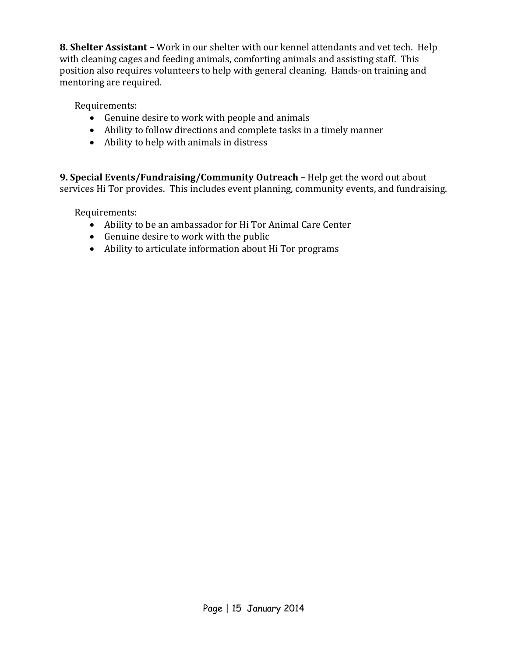**8. Shelter Assistant –** Work in our shelter with our kennel attendants and vet tech. Help with cleaning cages and feeding animals, comforting animals and assisting staff. This position also requires volunteers to help with general cleaning. Hands-on training and mentoring are required.

Requirements:

- Genuine desire to work with people and animals
- Ability to follow directions and complete tasks in a timely manner
- Ability to help with animals in distress

**9. Special Events/Fundraising/Community Outreach –** Help get the word out about services Hi Tor provides. This includes event planning, community events, and fundraising.

Requirements:

- Ability to be an ambassador for Hi Tor Animal Care Center
- Genuine desire to work with the public
- Ability to articulate information about Hi Tor programs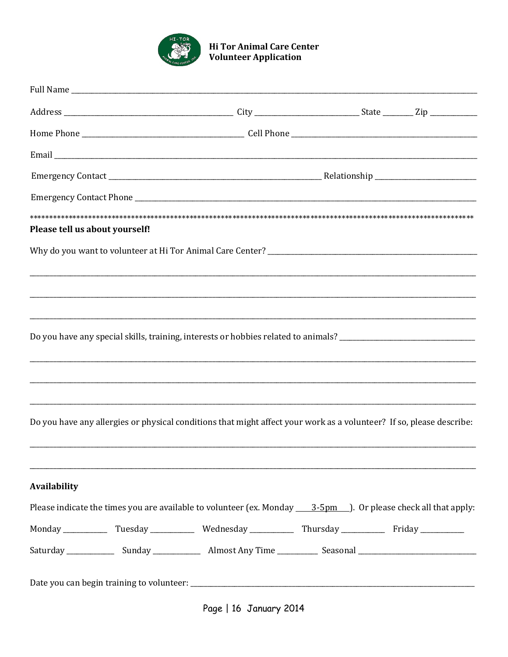

# **Hi Tor Animal Care Center<br>Volunteer Application**

| Please tell us about yourself! |                                                                                                                      |  |
|--------------------------------|----------------------------------------------------------------------------------------------------------------------|--|
|                                |                                                                                                                      |  |
|                                |                                                                                                                      |  |
|                                |                                                                                                                      |  |
|                                |                                                                                                                      |  |
|                                | Do you have any special skills, training, interests or hobbies related to animals? ___________________________       |  |
|                                |                                                                                                                      |  |
|                                |                                                                                                                      |  |
|                                |                                                                                                                      |  |
|                                | Do you have any allergies or physical conditions that might affect your work as a volunteer? If so, please describe: |  |
|                                |                                                                                                                      |  |
|                                |                                                                                                                      |  |
| <b>Availability</b>            |                                                                                                                      |  |
|                                |                                                                                                                      |  |
|                                |                                                                                                                      |  |
|                                |                                                                                                                      |  |
|                                |                                                                                                                      |  |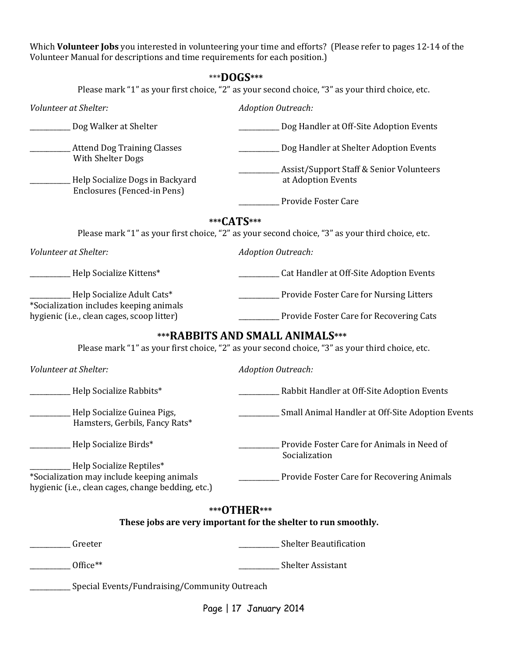Which **Volunteer Jobs** you interested in volunteering your time and efforts? (Please refer to pages 12-14 of the Volunteer Manual for descriptions and time requirements for each position.)

Please mark "1" as your first choice, "2" as your second choice, "3" as your third choice, etc.

| Volunteer at Shelter:                                                                                                        | <b>Adoption Outreach:</b>                                                                                                    |
|------------------------------------------------------------------------------------------------------------------------------|------------------------------------------------------------------------------------------------------------------------------|
| Dog Walker at Shelter                                                                                                        | Dog Handler at Off-Site Adoption Events                                                                                      |
| <b>Attend Dog Training Classes</b><br>With Shelter Dogs                                                                      | Dog Handler at Shelter Adoption Events                                                                                       |
| Help Socialize Dogs in Backyard<br>Enclosures (Fenced-in Pens)                                                               | Assist/Support Staff & Senior Volunteers<br>at Adoption Events                                                               |
|                                                                                                                              | Provide Foster Care                                                                                                          |
|                                                                                                                              | ***CATS***                                                                                                                   |
|                                                                                                                              | Please mark "1" as your first choice, "2" as your second choice, "3" as your third choice, etc.                              |
| Volunteer at Shelter:                                                                                                        | <b>Adoption Outreach:</b>                                                                                                    |
| Help Socialize Kittens*                                                                                                      | Cat Handler at Off-Site Adoption Events                                                                                      |
| Help Socialize Adult Cats*<br>*Socialization includes keeping animals                                                        | Provide Foster Care for Nursing Litters                                                                                      |
| hygienic (i.e., clean cages, scoop litter)                                                                                   | Provide Foster Care for Recovering Cats                                                                                      |
| Volunteer at Shelter:                                                                                                        | Please mark "1" as your first choice, "2" as your second choice, "3" as your third choice, etc.<br><b>Adoption Outreach:</b> |
| Help Socialize Rabbits*                                                                                                      | Rabbit Handler at Off-Site Adoption Events                                                                                   |
| Help Socialize Guinea Pigs,<br>Hamsters, Gerbils, Fancy Rats*                                                                | Small Animal Handler at Off-Site Adoption Events                                                                             |
| Help Socialize Birds*                                                                                                        | Provide Foster Care for Animals in Need of<br>Socialization                                                                  |
| Help Socialize Reptiles*<br>*Socialization may include keeping animals<br>hygienic (i.e., clean cages, change bedding, etc.) | Provide Foster Care for Recovering Animals                                                                                   |
|                                                                                                                              | *** OTHER***<br>These jobs are very important for the shelter to run smoothly.                                               |
| Greeter                                                                                                                      | _Shelter Beautification                                                                                                      |
| Office**                                                                                                                     | ____ Shelter Assistant                                                                                                       |
| Special Events/Fundraising/Community Outreach                                                                                |                                                                                                                              |
|                                                                                                                              | Page   17 January 2014                                                                                                       |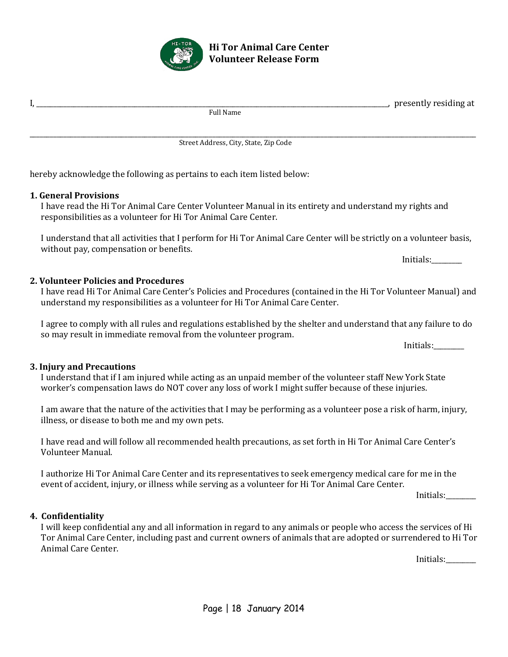

**4. Confidentiality**

I will keep confidential any and all information in regard to any animals or people who access the services of Hi Tor Animal Care Center, including past and current owners of animals that are adopted or surrendered to Hi Tor Animal Care Center.

Initials:\_\_\_\_\_\_\_\_\_

\_\_\_\_\_\_\_\_\_\_\_\_\_\_\_\_\_\_\_\_\_\_\_\_\_\_\_\_\_\_\_\_\_\_\_\_\_\_\_\_\_\_\_\_\_\_\_\_\_\_\_\_\_\_\_\_\_\_\_\_\_\_\_\_\_\_\_\_\_\_\_\_\_\_\_\_\_\_\_\_\_\_\_\_\_\_\_\_\_\_\_\_\_\_\_\_\_\_\_\_\_\_\_\_\_\_\_\_\_\_\_\_\_\_\_\_\_\_\_\_\_\_\_\_\_\_\_\_\_\_\_\_ Street Address, City, State, Zip Code

hereby acknowledge the following as pertains to each item listed below:

# **1. General Provisions**

I have read the Hi Tor Animal Care Center Volunteer Manual in its entirety and understand my rights and responsibilities as a volunteer for Hi Tor Animal Care Center.

I understand that all activities that I perform for Hi Tor Animal Care Center will be strictly on a volunteer basis, without pay, compensation or benefits.

**2. Volunteer Policies and Procedures** I have read Hi Tor Animal Care Center's Policies and Procedures (contained in the Hi Tor Volunteer Manual) and understand my responsibilities as a volunteer for Hi Tor Animal Care Center.

I agree to comply with all rules and regulations established by the shelter and understand that any failure to do so may result in immediate removal from the volunteer program.

**3. Injury and Precautions** I understand that if I am injured while acting as an unpaid member of the volunteer staff New York State worker's compensation laws do NOT cover any loss of work I might suffer because of these injuries.

I am aware that the nature of the activities that I may be performing as a volunteer pose a risk of harm, injury, illness, or disease to both me and my own pets.

I have read and will follow all recommended health precautions, as set forth in Hi Tor Animal Care Center's Volunteer Manual.

I authorize Hi Tor Animal Care Center and its representatives to seek emergency medical care for me in the event of accident, injury, or illness while serving as a volunteer for Hi Tor Animal Care Center.

Initials:\_\_\_\_\_\_\_\_\_

**Hi Tor Animal Care Center Volunteer Release Form**



 $I, \_\_\_\_\_\_$  presently residing at  $Full Name$ 

Initials:

Initials: